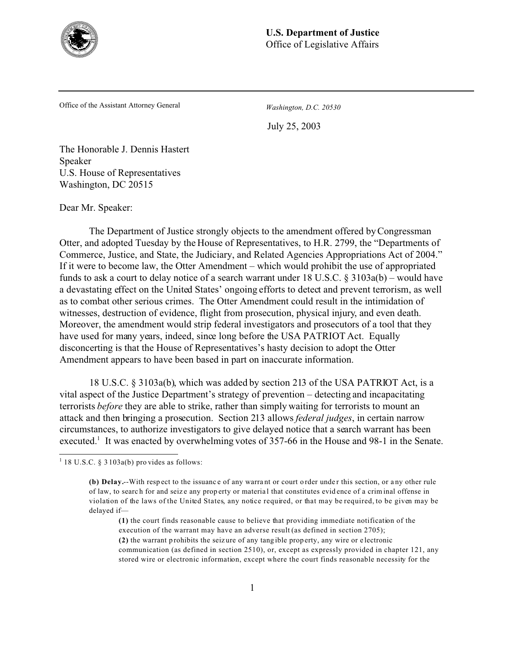

Office of the Assistant Attorney General *Washington, D.C. 20530*

July 25, 2003

The Honorable J. Dennis Hastert Speaker U.S. House of Representatives Washington, DC 20515

Dear Mr. Speaker:

The Department of Justice strongly objects to the amendment offered by Congressman Otter, and adopted Tuesday by the House of Representatives, to H.R. 2799, the "Departments of Commerce, Justice, and State, the Judiciary, and Related Agencies Appropriations Act of 2004." If it were to become law, the Otter Amendment – which would prohibit the use of appropriated funds to ask a court to delay notice of a search warrant under 18 U.S.C. § 3103a(b) – would have a devastating effect on the United States' ongoing efforts to detect and prevent terrorism, as well as to combat other serious crimes. The Otter Amendment could result in the intimidation of witnesses, destruction of evidence, flight from prosecution, physical injury, and even death. Moreover, the amendment would strip federal investigators and prosecutors of a tool that they have used for many years, indeed, since long before the USA PATRIOT Act. Equally disconcerting is that the House of Representatives's hasty decision to adopt the Otter Amendment appears to have been based in part on inaccurate information.

18 U.S.C. § 3103a(b), which was added by section 213 of the USA PATRIOT Act, is a vital aspect of the Justice Department's strategy of prevention – detecting and incapacitating terrorists *before* they are able to strike, rather than simply waiting for terrorists to mount an attack and then bringing a prosecution. Section 213 allows *federal judges*, in certain narrow circumstances, to authorize investigators to give delayed notice that a search warrant has been executed.<sup>1</sup> It was enacted by overwhelming votes of 357-66 in the House and 98-1 in the Senate.

 $1$  18 U.S.C. § 3 103a(b) pro vides as follows:

<sup>(</sup>b) Delay.--With respect to the issuance of any warrant or court order under this section, or any other rule of law, to searc h for and seiz e any prop erty or materia l that constitutes evid ence of a crim inal offense in violation of the laws of the United States, any notice required, or that may be required, to be given may be delayed if—

**<sup>(1)</sup>** the court finds reasonable cause to believe that providing immediate notification of the execution of the warrant may have an adverse result (as defined in section 2705); **(2)** the warrant p rohibits the seiz ure of any tang ible prop erty, any wire or e lectronic

communication (as defined in section 2510), or, except as expressly provided in chapter 121, any stored wire or electronic information, except where the court finds reasonable necessity for the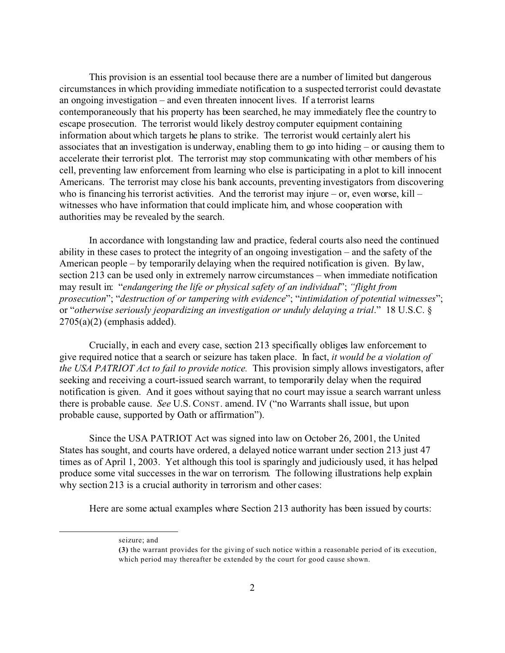This provision is an essential tool because there are a number of limited but dangerous circumstances in which providing immediate notification to a suspected terrorist could devastate an ongoing investigation – and even threaten innocent lives. If a terrorist learns contemporaneously that his property has been searched, he may immediately flee the country to escape prosecution. The terrorist would likely destroy computer equipment containing information about which targets he plans to strike. The terrorist would certainly alert his associates that an investigation is underway, enabling them to go into hiding – or causing them to accelerate their terrorist plot. The terrorist may stop communicating with other members of his cell, preventing law enforcement from learning who else is participating in a plot to kill innocent Americans. The terrorist may close his bank accounts, preventing investigators from discovering who is financing his terrorist activities. And the terrorist may injure – or, even worse,  $\text{kill}$  – witnesses who have information that could implicate him, and whose cooperation with authorities may be revealed by the search.

In accordance with longstanding law and practice, federal courts also need the continued ability in these cases to protect the integrity of an ongoing investigation – and the safety of the American people – by temporarily delaying when the required notification is given. By law, section 213 can be used only in extremely narrow circumstances – when immediate notification may result in: "*endangering the life or physical safety of an individual*"; *"flight from prosecution*"; "*destruction of or tampering with evidence*"; "*intimidation of potential witnesses*"; or "*otherwise seriously jeopardizing an investigation or unduly delaying a trial*." 18 U.S.C. §  $2705(a)(2)$  (emphasis added).

Crucially, in each and every case, section 213 specifically obliges law enforcement to give required notice that a search or seizure has taken place. In fact, *it would be a violation of the USA PATRIOT Act to fail to provide notice.* This provision simply allows investigators, after seeking and receiving a court-issued search warrant, to temporarily delay when the required notification is given. And it goes without saying that no court may issue a search warrant unless there is probable cause. *See* U.S. CONST. amend. IV ("no Warrants shall issue, but upon probable cause, supported by Oath or affirmation").

Since the USA PATRIOT Act was signed into law on October 26, 2001, the United States has sought, and courts have ordered, a delayed notice warrant under section 213 just 47 times as of April 1, 2003. Yet although this tool is sparingly and judiciously used, it has helped produce some vital successes in the war on terrorism. The following illustrations help explain why section 213 is a crucial authority in terrorism and other cases:

Here are some actual examples where Section 213 authority has been issued by courts:

seizure; and

**<sup>(3)</sup>** the warrant provides for the giving of such notice within a reasonable period of its execution, which period may thereafter be extended by the court for good cause shown.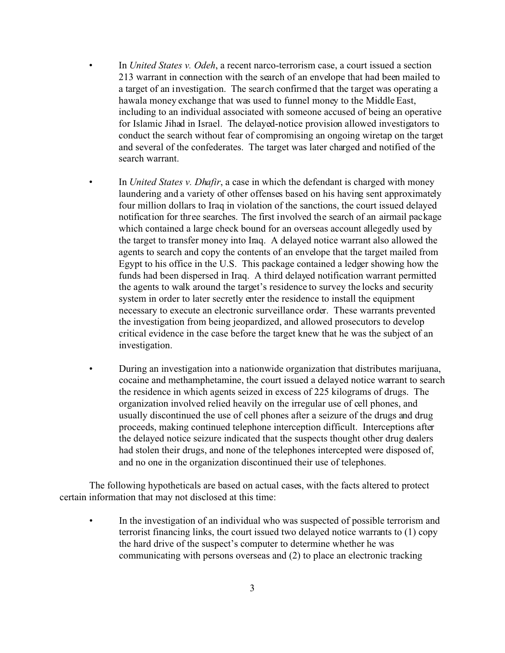- In *United States v. Odeh*, a recent narco-terrorism case, a court issued a section 213 warrant in connection with the search of an envelope that had been mailed to a target of an investigation. The search confirmed that the target was operating a hawala money exchange that was used to funnel money to the Middle East, including to an individual associated with someone accused of being an operative for Islamic Jihad in Israel. The delayed-notice provision allowed investigators to conduct the search without fear of compromising an ongoing wiretap on the target and several of the confederates. The target was later charged and notified of the search warrant.
- In *United States v. Dhafir*, a case in which the defendant is charged with money laundering and a variety of other offenses based on his having sent approximately four million dollars to Iraq in violation of the sanctions, the court issued delayed notification for three searches. The first involved the search of an airmail package which contained a large check bound for an overseas account allegedly used by the target to transfer money into Iraq. A delayed notice warrant also allowed the agents to search and copy the contents of an envelope that the target mailed from Egypt to his office in the U.S. This package contained a ledger showing how the funds had been dispersed in Iraq. A third delayed notification warrant permitted the agents to walk around the target's residence to survey the locks and security system in order to later secretly enter the residence to install the equipment necessary to execute an electronic surveillance order. These warrants prevented the investigation from being jeopardized, and allowed prosecutors to develop critical evidence in the case before the target knew that he was the subject of an investigation.
- During an investigation into a nationwide organization that distributes marijuana, cocaine and methamphetamine, the court issued a delayed notice warrant to search the residence in which agents seized in excess of 225 kilograms of drugs. The organization involved relied heavily on the irregular use of cell phones, and usually discontinued the use of cell phones after a seizure of the drugs and drug proceeds, making continued telephone interception difficult. Interceptions after the delayed notice seizure indicated that the suspects thought other drug dealers had stolen their drugs, and none of the telephones intercepted were disposed of, and no one in the organization discontinued their use of telephones.

The following hypotheticals are based on actual cases, with the facts altered to protect certain information that may not disclosed at this time:

• In the investigation of an individual who was suspected of possible terrorism and terrorist financing links, the court issued two delayed notice warrants to (1) copy the hard drive of the suspect's computer to determine whether he was communicating with persons overseas and (2) to place an electronic tracking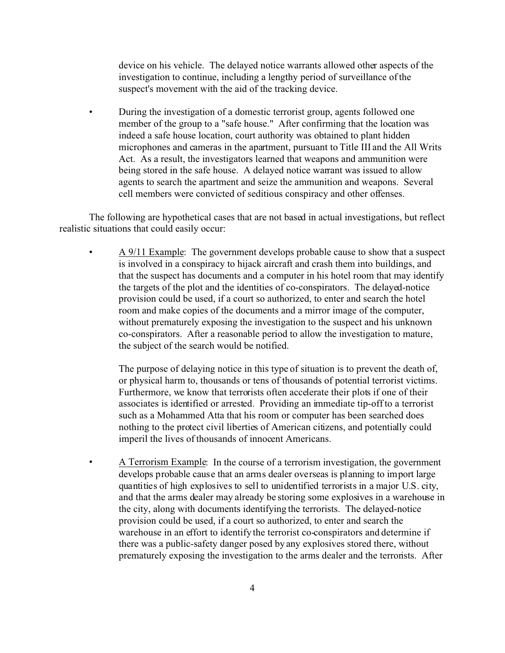device on his vehicle. The delayed notice warrants allowed other aspects of the investigation to continue, including a lengthy period of surveillance of the suspect's movement with the aid of the tracking device.

• During the investigation of a domestic terrorist group, agents followed one member of the group to a "safe house." After confirming that the location was indeed a safe house location, court authority was obtained to plant hidden microphones and cameras in the apartment, pursuant to Title III and the All Writs Act. As a result, the investigators learned that weapons and ammunition were being stored in the safe house. A delayed notice warrant was issued to allow agents to search the apartment and seize the ammunition and weapons. Several cell members were convicted of seditious conspiracy and other offenses.

The following are hypothetical cases that are not based in actual investigations, but reflect realistic situations that could easily occur:

• A 9/11 Example: The government develops probable cause to show that a suspect is involved in a conspiracy to hijack aircraft and crash them into buildings, and that the suspect has documents and a computer in his hotel room that may identify the targets of the plot and the identities of co-conspirators. The delayed-notice provision could be used, if a court so authorized, to enter and search the hotel room and make copies of the documents and a mirror image of the computer, without prematurely exposing the investigation to the suspect and his unknown co-conspirators. After a reasonable period to allow the investigation to mature, the subject of the search would be notified.

The purpose of delaying notice in this type of situation is to prevent the death of, or physical harm to, thousands or tens of thousands of potential terrorist victims. Furthermore, we know that terrorists often accelerate their plots if one of their associates is identified or arrested. Providing an immediate tip-off to a terrorist such as a Mohammed Atta that his room or computer has been searched does nothing to the protect civil liberties of American citizens, and potentially could imperil the lives of thousands of innocent Americans.

• A Terrorism Example: In the course of a terrorism investigation, the government develops probable cause that an arms dealer overseas is planning to import large quantities of high explosives to sell to unidentified terrorists in a major U.S. city, and that the arms dealer may already be storing some explosives in a warehouse in the city, along with documents identifying the terrorists. The delayed-notice provision could be used, if a court so authorized, to enter and search the warehouse in an effort to identify the terrorist co-conspirators and determine if there was a public-safety danger posed by any explosives stored there, without prematurely exposing the investigation to the arms dealer and the terrorists. After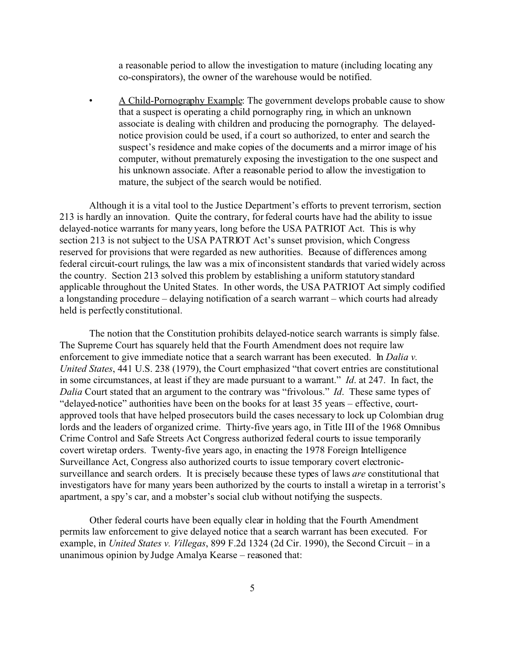a reasonable period to allow the investigation to mature (including locating any co-conspirators), the owner of the warehouse would be notified.

• A Child-Pornography Example: The government develops probable cause to show that a suspect is operating a child pornography ring, in which an unknown associate is dealing with children and producing the pornography. The delayednotice provision could be used, if a court so authorized, to enter and search the suspect's residence and make copies of the documents and a mirror image of his computer, without prematurely exposing the investigation to the one suspect and his unknown associate. After a reasonable period to allow the investigation to mature, the subject of the search would be notified.

Although it is a vital tool to the Justice Department's efforts to prevent terrorism, section 213 is hardly an innovation. Quite the contrary, for federal courts have had the ability to issue delayed-notice warrants for many years, long before the USA PATRIOT Act. This is why section 213 is not subject to the USA PATRIOT Act's sunset provision, which Congress reserved for provisions that were regarded as new authorities. Because of differences among federal circuit-court rulings, the law was a mix of inconsistent standards that varied widely across the country. Section 213 solved this problem by establishing a uniform statutory standard applicable throughout the United States. In other words, the USA PATRIOT Act simply codified a longstanding procedure – delaying notification of a search warrant – which courts had already held is perfectly constitutional.

The notion that the Constitution prohibits delayed-notice search warrants is simply false. The Supreme Court has squarely held that the Fourth Amendment does not require law enforcement to give immediate notice that a search warrant has been executed. In *Dalia v. United States*, 441 U.S. 238 (1979), the Court emphasized "that covert entries are constitutional in some circumstances, at least if they are made pursuant to a warrant." *Id*. at 247. In fact, the *Dalia* Court stated that an argument to the contrary was "frivolous." *Id*. These same types of "delayed-notice" authorities have been on the books for at least 35 years – effective, courtapproved tools that have helped prosecutors build the cases necessary to lock up Colombian drug lords and the leaders of organized crime. Thirty-five years ago, in Title III of the 1968 Omnibus Crime Control and Safe Streets Act Congress authorized federal courts to issue temporarily covert wiretap orders. Twenty-five years ago, in enacting the 1978 Foreign Intelligence Surveillance Act, Congress also authorized courts to issue temporary covert electronicsurveillance and search orders. It is precisely because these types of laws *are* constitutional that investigators have for many years been authorized by the courts to install a wiretap in a terrorist's apartment, a spy's car, and a mobster's social club without notifying the suspects.

Other federal courts have been equally clear in holding that the Fourth Amendment permits law enforcement to give delayed notice that a search warrant has been executed. For example, in *United States v. Villegas*, 899 F.2d 1324 (2d Cir. 1990), the Second Circuit – in a unanimous opinion by Judge Amalya Kearse – reasoned that: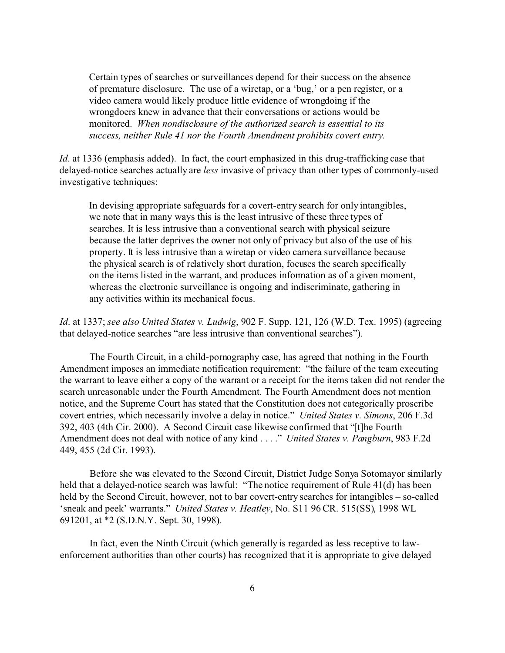Certain types of searches or surveillances depend for their success on the absence of premature disclosure. The use of a wiretap, or a 'bug,' or a pen register, or a video camera would likely produce little evidence of wrongdoing if the wrongdoers knew in advance that their conversations or actions would be monitored. *When nondisclosure of the authorized search is essential to its success, neither Rule 41 nor the Fourth Amendment prohibits covert entry.*

*Id.* at 1336 (emphasis added). In fact, the court emphasized in this drug-trafficking case that delayed-notice searches actually are *less* invasive of privacy than other types of commonly-used investigative techniques:

In devising appropriate safeguards for a covert-entry search for only intangibles, we note that in many ways this is the least intrusive of these three types of searches. It is less intrusive than a conventional search with physical seizure because the latter deprives the owner not only of privacy but also of the use of his property. It is less intrusive than a wiretap or video camera surveillance because the physical search is of relatively short duration, focuses the search specifically on the items listed in the warrant, and produces information as of a given moment, whereas the electronic surveillance is ongoing and indiscriminate, gathering in any activities within its mechanical focus.

*Id*. at 1337; *see also United States v. Ludwig*, 902 F. Supp. 121, 126 (W.D. Tex. 1995) (agreeing that delayed-notice searches "are less intrusive than conventional searches").

The Fourth Circuit, in a child-pornography case, has agreed that nothing in the Fourth Amendment imposes an immediate notification requirement: "the failure of the team executing the warrant to leave either a copy of the warrant or a receipt for the items taken did not render the search unreasonable under the Fourth Amendment. The Fourth Amendment does not mention notice, and the Supreme Court has stated that the Constitution does not categorically proscribe covert entries, which necessarily involve a delay in notice." *United States v. Simons*, 206 F.3d 392, 403 (4th Cir. 2000). A Second Circuit case likewise confirmed that "[t]he Fourth Amendment does not deal with notice of any kind . . . ." *United States v. Pangburn*, 983 F.2d 449, 455 (2d Cir. 1993).

Before she was elevated to the Second Circuit, District Judge Sonya Sotomayor similarly held that a delayed-notice search was lawful: "The notice requirement of Rule 41(d) has been held by the Second Circuit, however, not to bar covert-entry searches for intangibles – so-called 'sneak and peek' warrants." *United States v. Heatley*, No. S11 96 CR. 515(SS), 1998 WL 691201, at \*2 (S.D.N.Y. Sept. 30, 1998).

In fact, even the Ninth Circuit (which generally is regarded as less receptive to lawenforcement authorities than other courts) has recognized that it is appropriate to give delayed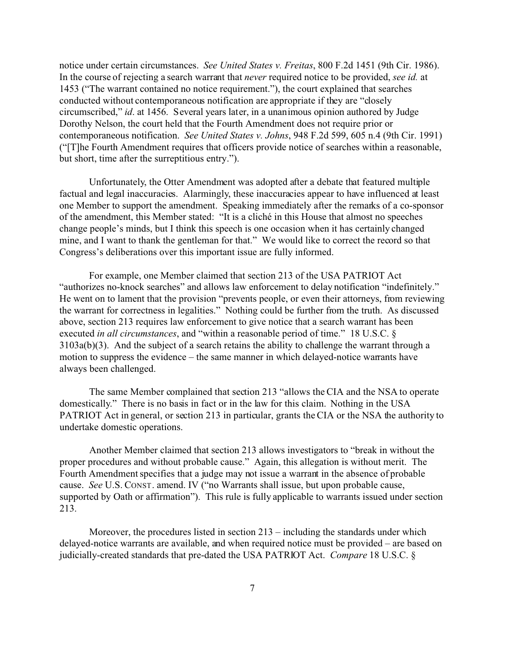notice under certain circumstances. *See United States v. Freitas*, 800 F.2d 1451 (9th Cir. 1986). In the course of rejecting a search warrant that *never* required notice to be provided, *see id.* at 1453 ("The warrant contained no notice requirement."), the court explained that searches conducted without contemporaneous notification are appropriate if they are "closely circumscribed," *id*. at 1456. Several years later, in a unanimous opinion authored by Judge Dorothy Nelson, the court held that the Fourth Amendment does not require prior or contemporaneous notification. *See United States v. Johns*, 948 F.2d 599, 605 n.4 (9th Cir. 1991) ("[T]he Fourth Amendment requires that officers provide notice of searches within a reasonable, but short, time after the surreptitious entry.").

Unfortunately, the Otter Amendment was adopted after a debate that featured multiple factual and legal inaccuracies. Alarmingly, these inaccuracies appear to have influenced at least one Member to support the amendment. Speaking immediately after the remarks of a co-sponsor of the amendment, this Member stated: "It is a cliché in this House that almost no speeches change people's minds, but I think this speech is one occasion when it has certainly changed mine, and I want to thank the gentleman for that." We would like to correct the record so that Congress's deliberations over this important issue are fully informed.

For example, one Member claimed that section 213 of the USA PATRIOT Act "authorizes no-knock searches" and allows law enforcement to delay notification "indefinitely." He went on to lament that the provision "prevents people, or even their attorneys, from reviewing the warrant for correctness in legalities." Nothing could be further from the truth. As discussed above, section 213 requires law enforcement to give notice that a search warrant has been executed *in all circumstances*, and "within a reasonable period of time." 18 U.S.C. § 3103a(b)(3). And the subject of a search retains the ability to challenge the warrant through a motion to suppress the evidence – the same manner in which delayed-notice warrants have always been challenged.

The same Member complained that section 213 "allows the CIA and the NSA to operate domestically." There is no basis in fact or in the law for this claim. Nothing in the USA PATRIOT Act in general, or section 213 in particular, grants the CIA or the NSA the authority to undertake domestic operations.

Another Member claimed that section 213 allows investigators to "break in without the proper procedures and without probable cause." Again, this allegation is without merit. The Fourth Amendment specifies that a judge may not issue a warrant in the absence of probable cause. *See* U.S. CONST. amend. IV ("no Warrants shall issue, but upon probable cause, supported by Oath or affirmation"). This rule is fully applicable to warrants issued under section 213.

Moreover, the procedures listed in section 213 – including the standards under which delayed-notice warrants are available, and when required notice must be provided – are based on judicially-created standards that pre-dated the USA PATRIOT Act. *Compare* 18 U.S.C. §